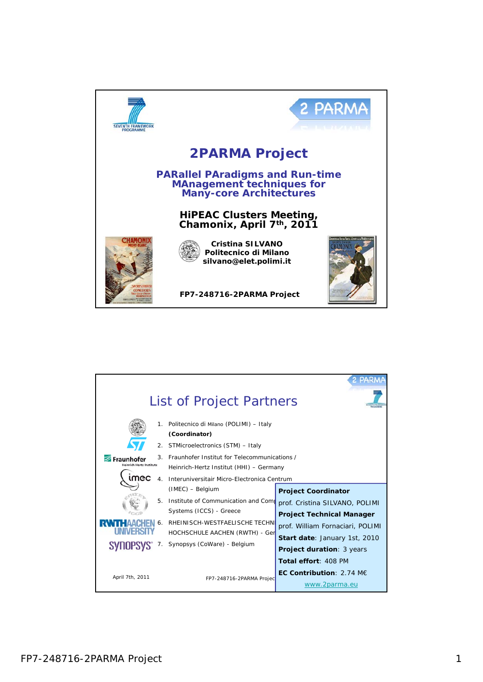

| List of Project Partners                                                                                  |  |                                                                                                                                                                                                                                                                                                                                                                                             |                                                                                                                                                                                                                  |
|-----------------------------------------------------------------------------------------------------------|--|---------------------------------------------------------------------------------------------------------------------------------------------------------------------------------------------------------------------------------------------------------------------------------------------------------------------------------------------------------------------------------------------|------------------------------------------------------------------------------------------------------------------------------------------------------------------------------------------------------------------|
| $1_{\cdot}$<br>2 <sub>1</sub><br>3<br>Fraunhofe<br>einrich Hertz Institute<br>mec<br>$\overline{4}$<br>5. |  | Politecnico di Milano (POLIMI) - Italy<br>(Coordinator)<br>STMicroelectronics (STM) - Italy<br>Fraunhofer Institut for Telecommunications /<br>Heinrich-Hertz Institut (HHI) - Germany<br>Interuniversitair Micro-Electronica Centrum<br>(IMEC) - Belgium<br><b>Project Coordinator</b><br>Institute of Communication and Come<br>prof. Cristina SILVANO, POLIMI<br>Systems (ICCS) - Greece |                                                                                                                                                                                                                  |
| SYNOPSYS<br>April 7th, 2011                                                                               |  | RHEINISCH-WESTFAELISCHE TECHN<br>HOCHSCHULE AACHEN (RWTH) - Ger<br>Synopsys (CoWare) - Belgium<br>FP7-248716-2PARMA Projec                                                                                                                                                                                                                                                                  | <b>Project Technical Manager</b><br>prof. William Fornaciari, POLIMI<br>Start date: January 1st, 2010<br><b>Project duration: 3 years</b><br>Total effort: 408 PM<br>EC Contribution: $2.74$ ME<br>www.2parma.eu |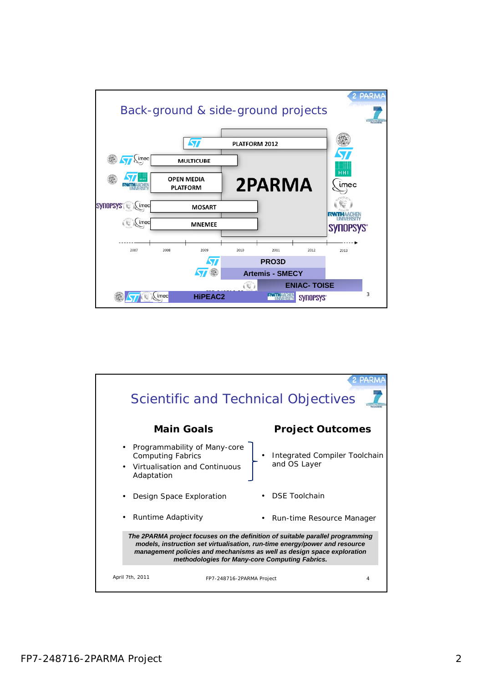

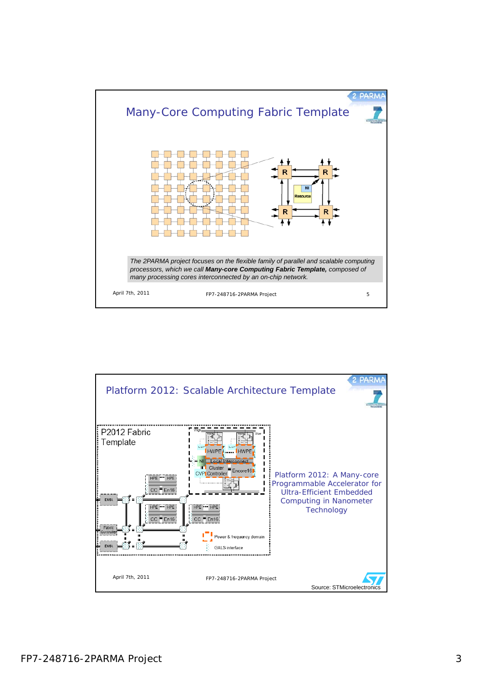

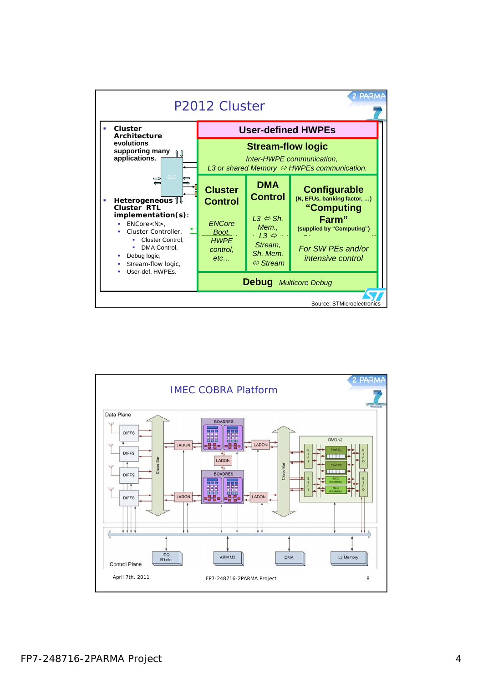

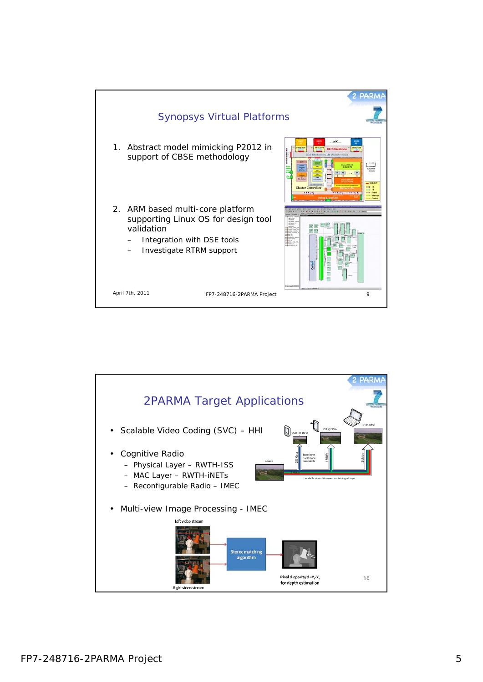

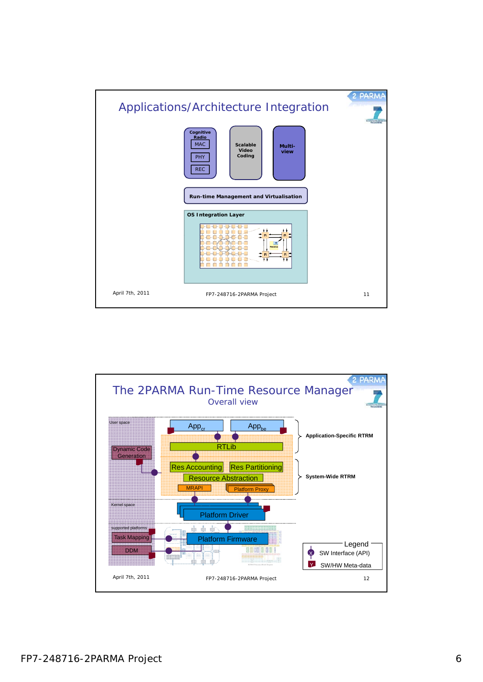

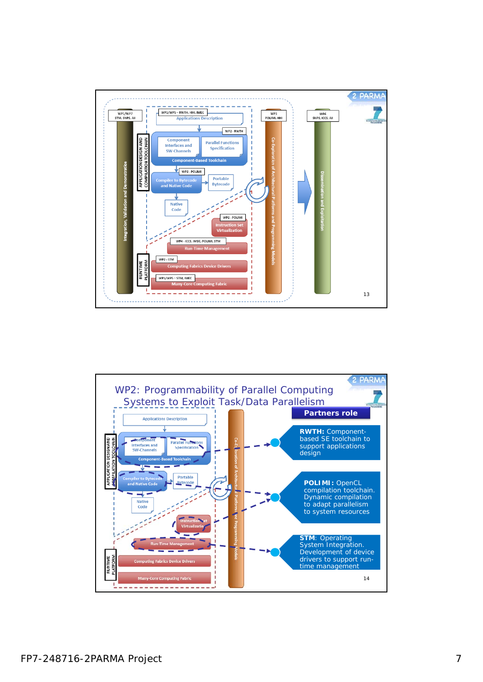

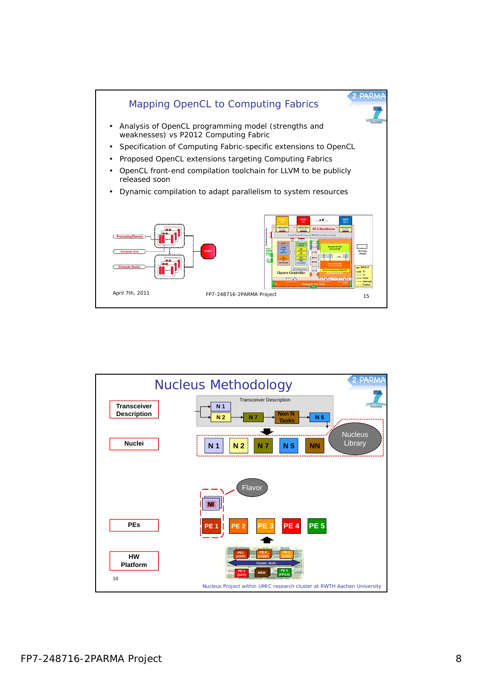

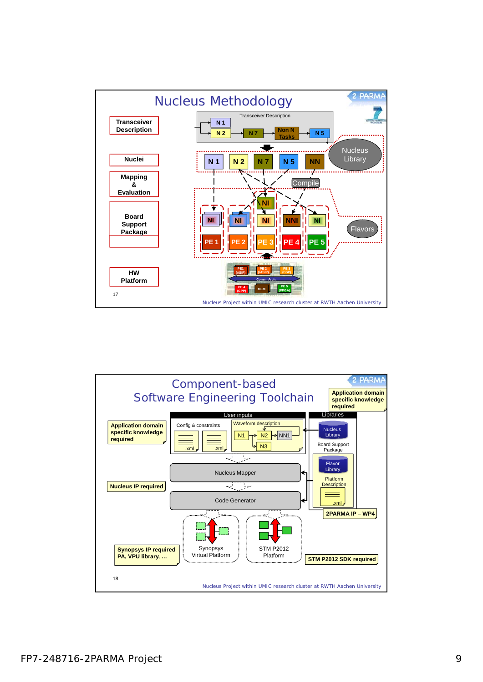

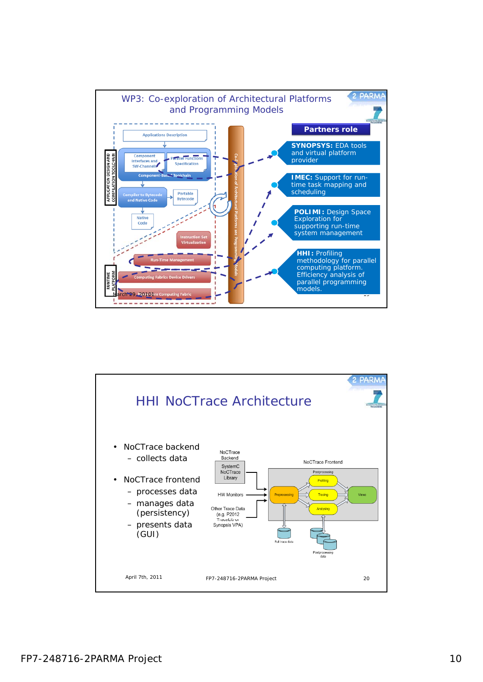

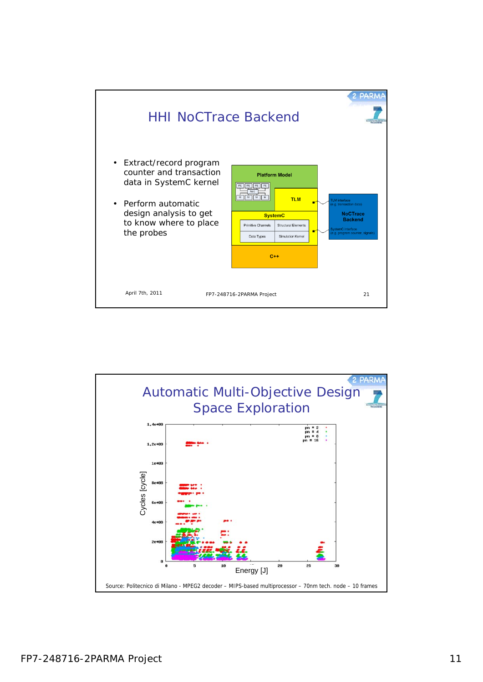

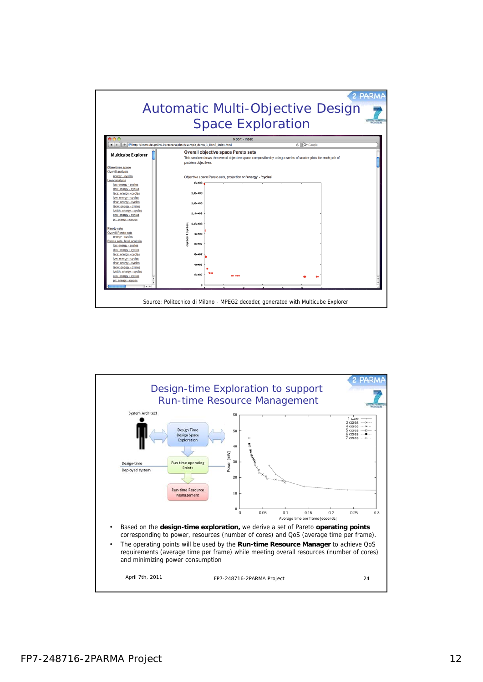

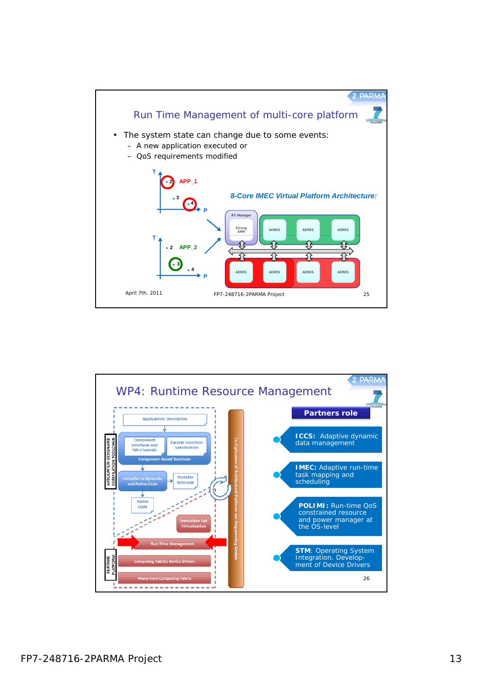

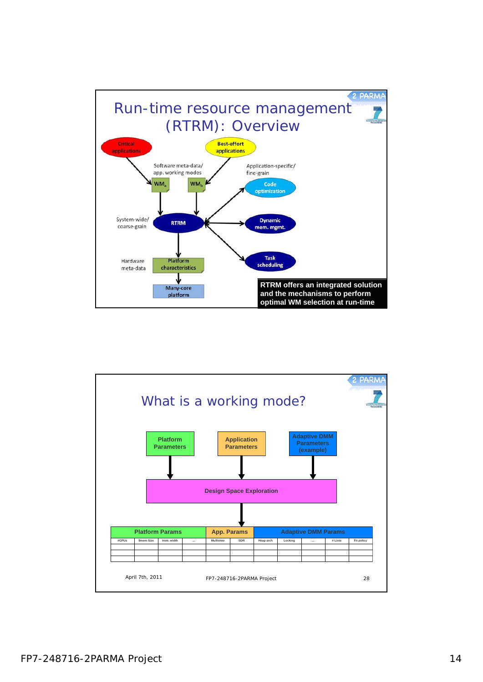